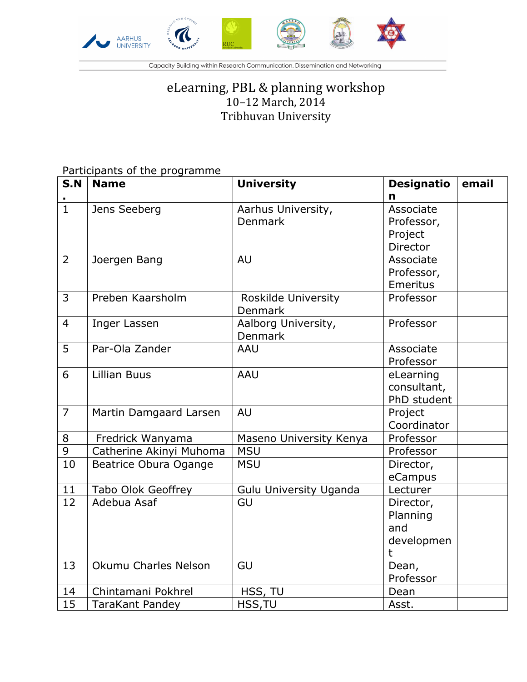

Capacity Building within Research Communication, Dissemination and Networking

## eLearning, PBL & planning workshop 10-12 March, 2014 Tribhuvan University

## Participants of the programme

| S.N             | <b>Name</b>               | <b>University</b>             | <b>Designatio</b> | email |
|-----------------|---------------------------|-------------------------------|-------------------|-------|
|                 |                           |                               | n                 |       |
| $\mathbf{1}$    | Jens Seeberg              | Aarhus University,            | Associate         |       |
|                 |                           | <b>Denmark</b>                | Professor,        |       |
|                 |                           |                               | Project           |       |
|                 |                           |                               | Director          |       |
| $\overline{2}$  | Joergen Bang              | <b>AU</b>                     | Associate         |       |
|                 |                           |                               | Professor,        |       |
|                 |                           |                               | <b>Emeritus</b>   |       |
| 3               | Preben Kaarsholm          | Roskilde University           | Professor         |       |
|                 |                           | Denmark                       |                   |       |
| $\overline{4}$  | Inger Lassen              | Aalborg University,           | Professor         |       |
|                 |                           | <b>Denmark</b>                |                   |       |
| 5               | Par-Ola Zander            | <b>AAU</b>                    | Associate         |       |
|                 |                           |                               | Professor         |       |
| 6               | <b>Lillian Buus</b>       | <b>AAU</b>                    | eLearning         |       |
|                 |                           |                               | consultant,       |       |
|                 |                           |                               | PhD student       |       |
| $\overline{7}$  | Martin Damgaard Larsen    | <b>AU</b>                     | Project           |       |
|                 |                           |                               | Coordinator       |       |
| 8               | Fredrick Wanyama          | Maseno University Kenya       | Professor         |       |
| $\overline{9}$  | Catherine Akinyi Muhoma   | <b>MSU</b>                    | Professor         |       |
| $\overline{10}$ | Beatrice Obura Ogange     | <b>MSU</b>                    | Director,         |       |
|                 |                           |                               | eCampus           |       |
| 11              | <b>Tabo Olok Geoffrey</b> | <b>Gulu University Uganda</b> | Lecturer          |       |
| 12              | Adebua Asaf               | GU                            | Director,         |       |
|                 |                           |                               | Planning          |       |
|                 |                           |                               | and               |       |
|                 |                           |                               | developmen        |       |
|                 |                           |                               | t                 |       |
| 13              | Okumu Charles Nelson      | GU                            | Dean,             |       |
|                 |                           |                               | Professor         |       |
| 14              | Chintamani Pokhrel        | HSS, TU                       | Dean              |       |
| 15              | <b>TaraKant Pandey</b>    | HSS, TU                       | Asst.             |       |